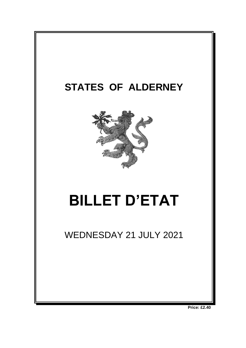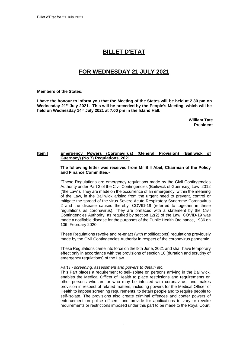# **BILLET D'ETAT**

# **FOR WEDNESDAY 21 JULY 2021**

**Members of the States:**

**I have the honour to inform you that the Meeting of the States will be held at 2.30 pm on Wednesday 21 st July 2021. This will be preceded by the People's Meeting, which will be held on Wednesday 14 th July 2021 at 7.00 pm in the Island Hall.** 

> **William Tate President**

# **Item I Emergency Powers (Coronavirus) (General Provision) (Bailiwick of Guernsey) (No.7) Regulations, 2021**

**The following letter was received from Mr Bill Abel, Chairman of the Policy and Finance Committee:-**

"These Regulations are emergency regulations made by the Civil Contingencies Authority under Part 3 of the Civil Contingencies (Bailiwick of Guernsey) Law, 2012 ('the Law"). They are made on the occurrence of an emergency, within the meaning of the Law, in the Bailiwick arising from the urgent need to prevent, control or mitigate the spread of the virus Severe Acute Respiratory Syndrome Coronavirus 2 and the disease caused thereby, COVID-19 (referred to together in these regulations as coronavirus). They are prefaced with a statement by the Civil Contingencies Authority, as required by section 12(2) of the Law. COVID-19 was made a notifiable disease for the purposes of the Public Health Ordinance, 1936 on 10th February 2020.

These Regulations revoke and re-enact (with modifications) regulations previously made by the Civil Contingencies Authority in respect of the coronavirus pandemic.

These Regulations came into force on the l8th June, 2021 and shall have temporary effect only in accordance with the provisions of section 16 (duration and scrutiny of emergency regulations) of the Law.

#### *Part I - screening, assessment and powers to detain etc.*

This Part places a requirement to sell-isolate on persons arriving in the Bailiwick, enables the Medical Officer of Health to place restrictions and requirements on other persons who are or who may be infected with coronavirus, and makes provision in respect of related matters, including powers for the Medical Officer of Health to impose screening requirements, to detain people and to require people to self-isolate. The provisions also create criminal offences and confer powers of enforcement on police officers, and provide for applications to vary or revoke requirements or restrictions imposed under this part to be made to the Royal Court.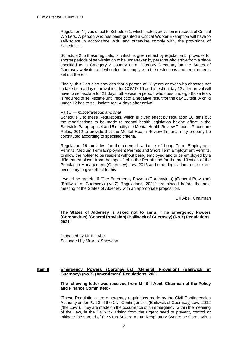Regulation 4 gives effect to Schedule 1, which makes provision in respect of Critical Workers. A person who has been granted a Critical Worker Exemption will have to self-isolate in accordance with, and otherwise comply with, the provisions of Schedule 1.

Schedule 2 to these regulations, which is given effect by regulation 5, provides for shorter periods of self-isolation to be undertaken by persons who arrive from a place specified as a Category 2 country or a Category 3 country on the States of Guernsey website, and who elect to comply with the restrictions and requirements set out therein.

Finally, this Part also provides that a person of 12 years or over who chooses not to take both a day of arrival test for COVID-19 and a test on day 13 after arrival will have to self-isolate for 21 days; otherwise, a person who does undergo those tests is required to sell-isolate until receipt of a negative result for the day 13 test. A child under 12 has to sell-isolate for 14 days after arrival.

#### *Part II — miscellaneous and final*

Schedule 3 to these Regulations, which is given effect by regulation 18, sets out the modifications to be made to mental health legislation having effect in the Bailiwick. Paragraphs 4 and 5 modify the Mental Health Review Tribunal Procedure Rules, 2012 to provide that the Mental Health Review Tribunal may properly be constituted according to specified criteria.

Regulation 19 provides for the deemed variance of Long Term Employment Permits, Medium Term Employment Permits and Short Term Employment Permits, to allow the holder to be resident without being employed and to be employed by a different employer from that specified in the Permit and for the modification of the Population Management (Guernsey) Law, 2016 and other legislation to the extent necessary to give effect to this.

I would be grateful if "The Emergency Powers (Coronavirus) (General Provision) (Bailiwick of Guernsey) (No.7) Regulations, 2021" are placed before the next meeting of the States of Alderney with an appropriate proposition.

Bill Abel, Chairman

**The States of Alderney is asked not to annul "The Emergency Powers (Coronavirus) (General Provision) (Bailiwick of Guernsey) (No.7) Regulations, 2021"**

Proposed by Mr Bill Abel Seconded by Mr Alex Snowdon

## **Item II Emergency Powers (Coronavirus) (General Provision) (Bailiwick of Guernsey) (No.7) (Amendment) Regulations, 2021**

**The following letter was received from Mr Bill Abel, Chairman of the Policy and Finance Committee:-**

"These Regulations are emergency regulations made by the Civil Contingencies Authority under Part 3 of the Civil Contingencies (Bailiwick of Guernsey) Law, 2012 ('the Law"). They are made on the occurrence of an emergency, within the meaning of the Law, in the Bailiwick arising from the urgent need to prevent, control or mitigate the spread of the virus Severe Acute Respiratory Syndrome Coronavirus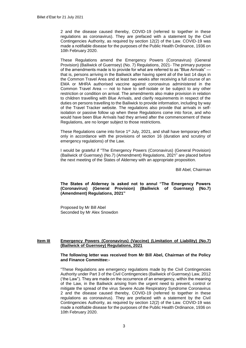2 and the disease caused thereby, COVID-19 (referred to together in these regulations as coronavirus). They are prefaced with a statement by the Civil Contingencies Authority, as required by section 12(2) of the Law. COVID-19 was made a notifiable disease for the purposes of the Public Health Ordinance, 1936 on 10th February 2020.

These Regulations amend the Emergency Powers (Coronavirus) (General Provision) (Bailiwick of Guernsey) (No. 7) Regulations, 2021- The primary purpose of the amendments made is to provide for what are referred to as "Blue Arrivals" that is, persons arriving in the Bailiwick after having spent all of the last 14 days in the Common Travel Area and at least two weeks after receiving a full course of an EMA or MHRA authorised vaccine against coronavirus administered in the Common Travel Area — not to have to self-isolate or be subject to any other restriction or condition on arrival. The amendments also make provision in relation to children travelling with Blue Arrivals, and clarify requirements in respect of the duties on persons travelling to the Bailiwick to provide information, including by way of the Travel Tracker website. The regulations also provide that arrivals in selfisolation or passive follow up when these Regulations come into force, and who would have been Blue Arrivals had they arrived after the commencement of these Regulations, are no longer subject to those restrictions.

These Regulations came into force  $1<sup>st</sup>$  July, 2021, and shall have temporary effect only in accordance with the provisions of section 16 (duration and scrutiny of emergency regulations) of the Law.

I would be grateful if "The Emergency Powers (Coronavirus) (General Provision) (Bailiwick of Guernsey) (No.7) (Amendment) Regulations, 2021" are placed before the next meeting of the States of Alderney with an appropriate proposition.

Bill Abel, Chairman

**The States of Alderney is asked not to annul "The Emergency Powers (Coronavirus) (General Provision) (Bailiwick of Guernsey) (No.7) (Amendment) Regulations, 2021"**

Proposed by Mr Bill Abel Seconded by Mr Alex Snowdon

## **Item III Emergency Powers (Coronavirus) (Vaccine) (Limitation of Liability) (No.7) (Bailiwick of Guernsey) Regulations, 2021**

#### **The following letter was received from Mr Bill Abel, Chairman of the Policy and Finance Committee:-**

"These Regulations are emergency regulations made by the Civil Contingencies Authority under Part 3 of the Civil Contingencies (Bailiwick of Guernsey) Law, 2012 ('the Law"). They are made on the occurrence of an emergency, within the meaning of the Law, in the Bailiwick arising from the urgent need to prevent, control or mitigate the spread of the virus Severe Acute Respiratory Syndrome Coronavirus 2 and the disease caused thereby, COVID-19 (referred to together in these regulations as coronavirus). They are prefaced with a statement by the Civil Contingencies Authority, as required by section 12(2) of the Law. COVID-19 was made a notifiable disease for the purposes of the Public Health Ordinance, 1936 on 10th February 2020.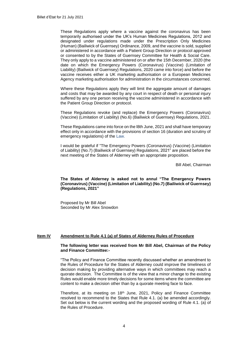These Regulations apply where a vaccine against the coronavirus has been temporarily authorised under the UK's Human Medicines Regulations, 2012 and designated under regulations made under the Prescription Only Medicines (Human) (Bailiwick of Guernsey) Ordinance, 2009, and the vaccine is sold, supplied or administered in accordance with a Patient Group Direction or protocol approved or consented to by the States of Guernsey Committee for Health & Social Care. They only apply to a vaccine administered on or after the 15th December, 2020 (the date on which the Emergency Powers (Coronavirus) (Vaccine) (Limitation of Liability) (Bailiwick of Guernsey) Regulations, 2020 came into force) and before the vaccine receives either a UK marketing authorisation or a European Medicines Agency marketing authorisation for administration in the circumstances concerned.

Where these Regulations apply they will limit the aggregate amount of damages and costs that may be awarded by any court in respect of death or personal injury suffered by any one person receiving the vaccine administered in accordance with the Patient Group Direction or protocol.

These Regulations revoke (and replace) the Emergency Powers (Coronavirus) (Vaccine) (Limitation of Liability) (No.6) (Bailiwick of Guernsey) Regulations, 2021.

These Regulations came into force on the l8th June, 2021 and shall have temporary effect only in accordance with the provisions of section 16 (duration and scrutiny of emergency regulations) of the Law.

I would be grateful if "The Emergency Powers (Coronavirus) (Vaccine) (Limitation of Liability) (No.7) (Bailiwick of Guernsey) Regulations, 2021" are placed before the next meeting of the States of Alderney with an appropriate proposition.

Bill Abel, Chairman

**The States of Alderney is asked not to annul "The Emergency Powers (Coronavirus) (Vaccine) (Limitation of Liability) (No.7) (Bailiwick of Guernsey) (Regulations, 2021"**

Proposed by Mr Bill Abel Seconded by Mr Alex Snowdon

### **Item IV Amendment to Rule 4.1 (a) of States of Alderney Rules of Procedure**

#### **The following letter was received from Mr Bill Abel, Chairman of the Policy and Finance Committee:-**

"The Policy and Finance Committee recently discussed whether an amendment to the Rules of Procedure for the States of Alderney could improve the timeliness of decision making by providing alternative ways in which committees may reach a quorate decision. The Committee is of the view that a minor change to the existing Rules would enable more timely decisions for some items where the committee are content to make a decision other than by a quorate meeting face to face.

Therefore, at its meeting on 18th June, 2021, Policy and Finance Committee resolved to recommend to the States that Rule 4.1. (a) be amended accordingly. Set out below is the current wording and the proposed wording of Rule 4.1. (a) of the Rules of Procedure.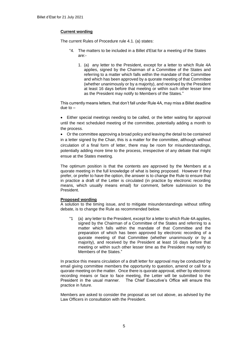# **Current wording**

The current Rules of Procedure rule 4.1. (a) states:

- "4. The matters to be included in a Billet d'Etat for a meeting of the States are:-
	- 1. (a) any letter to the President, except for a letter to which Rule 4A applies, signed by the Chairman of a Committee of the States and referring to a matter which falls within the mandate of that Committee and which has been approved by a quorate meeting of that Committee (whether unanimously or by a majority), and received by the President at least 16 days before that meeting or within such other lesser time as the President may notify to Members of the States."

This currently means letters, that don't fall under Rule 4A, may miss a Billet deadline due to –

 Either special meetings needing to be called, or the letter waiting for approval until the next scheduled meeting of the committee, potentially adding a month to the process.

 Or the committee approving a broad policy and leaving the detail to be contained in a letter signed by the Chair, this is a matter for the committee, although without circulation of a final form of letter, there may be room for misunderstandings, potentially adding more time to the process, irrespective of any debate that might ensue at the States meeting.

The optimum position is that the contents are approved by the Members at a quorate meeting in the full knowledge of what is being proposed. However if they prefer, or prefer to have the option, the answer is to change the Rule to ensure that in practice a draft of the Letter is circulated (in practice by electronic recording means, which usually means email) for comment, before submission to the President.

## **Proposed wording**

A solution to the timing issue, and to mitigate misunderstandings without stifling debate, is to change the Rule as recommended below.

"1 (a) any letter to the President, except for a letter to which Rule 4A applies, signed by the Chairman of a Committee of the States and referring to a matter which falls within the mandate of that Committee and the preparation of which has been approved by electronic recording of a quorate meeting of that Committee (whether unanimously or by a majority), and received by the President at least 16 days before that meeting or within such other lesser time as the President may notify to Members of the States."

In practice this means circulation of a draft letter for approval may be conducted by email giving committee members the opportunity to question, amend or call for a quorate meeting on the matter. Once there is quorate approval, either by electronic recording means or face to face meeting, the Letter will be submitted to the President in the usual manner. The Chief Executive's Office will ensure this practice in future.

Members are asked to consider the proposal as set out above, as advised by the Law Officers in consultation with the President.